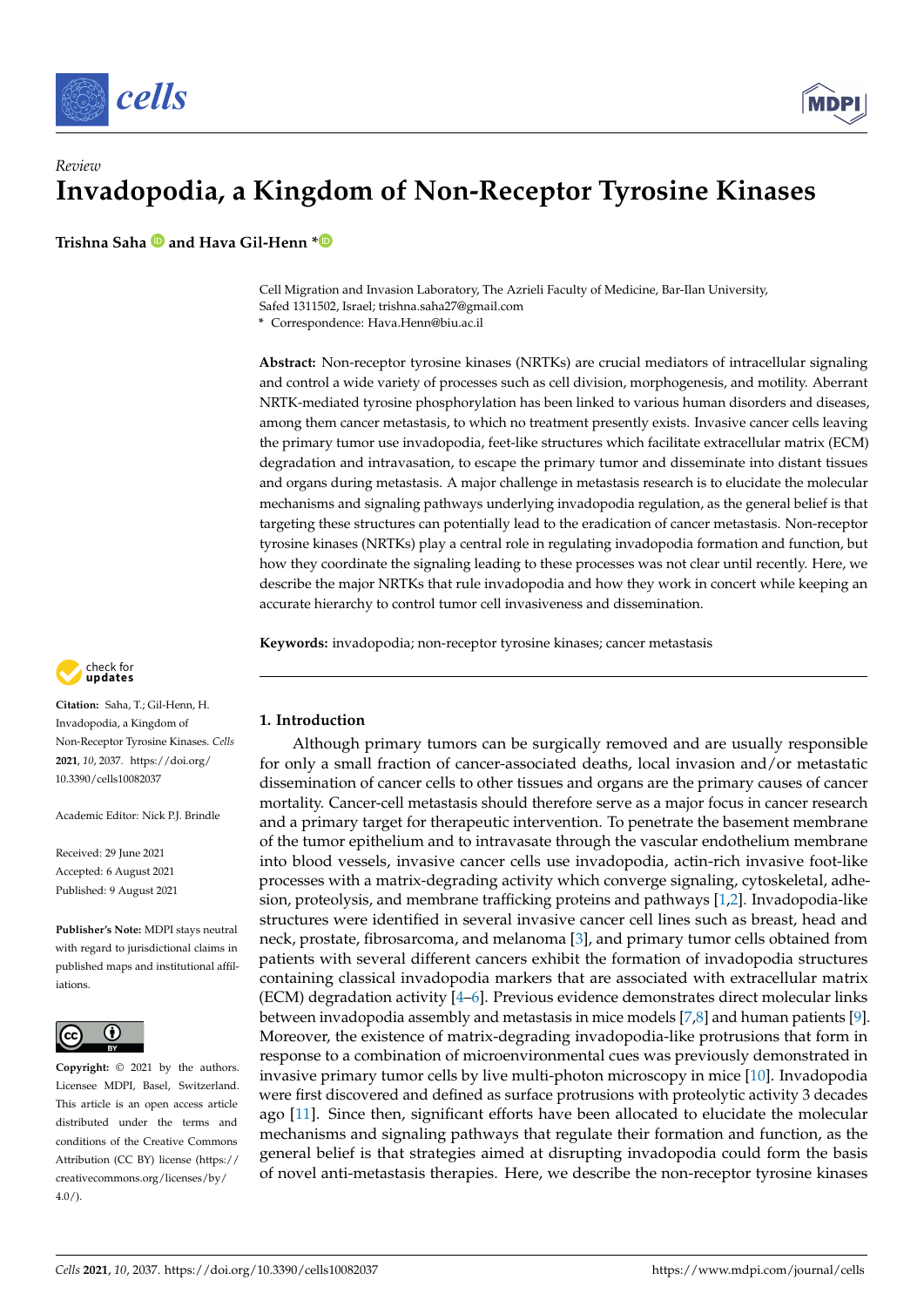



**Trishna Saha and Hava Gil-Henn [\\*](https://orcid.org/0000-0003-4064-0478)**

Cell Migration and Invasion Laboratory, The Azrieli Faculty of Medicine, Bar-Ilan University, Safed 1311502, Israel; trishna.saha27@gmail.com

**\*** Correspondence: Hava.Henn@biu.ac.il

**Abstract:** Non-receptor tyrosine kinases (NRTKs) are crucial mediators of intracellular signaling and control a wide variety of processes such as cell division, morphogenesis, and motility. Aberrant NRTK-mediated tyrosine phosphorylation has been linked to various human disorders and diseases, among them cancer metastasis, to which no treatment presently exists. Invasive cancer cells leaving the primary tumor use invadopodia, feet-like structures which facilitate extracellular matrix (ECM) degradation and intravasation, to escape the primary tumor and disseminate into distant tissues and organs during metastasis. A major challenge in metastasis research is to elucidate the molecular mechanisms and signaling pathways underlying invadopodia regulation, as the general belief is that targeting these structures can potentially lead to the eradication of cancer metastasis. Non-receptor tyrosine kinases (NRTKs) play a central role in regulating invadopodia formation and function, but how they coordinate the signaling leading to these processes was not clear until recently. Here, we describe the major NRTKs that rule invadopodia and how they work in concert while keeping an accurate hierarchy to control tumor cell invasiveness and dissemination.

**Keywords:** invadopodia; non-receptor tyrosine kinases; cancer metastasis



**Citation:** Saha, T.; Gil-Henn, H. Invadopodia, a Kingdom of Non-Receptor Tyrosine Kinases. *Cells* **2021**, *10*, 2037. [https://doi.org/](https://doi.org/10.3390/cells10082037) [10.3390/cells10082037](https://doi.org/10.3390/cells10082037)

Academic Editor: Nick PI. Brindle

Received: 29 June 2021 Accepted: 6 August 2021 Published: 9 August 2021

**Publisher's Note:** MDPI stays neutral with regard to jurisdictional claims in published maps and institutional affiliations.



**Copyright:** © 2021 by the authors. Licensee MDPI, Basel, Switzerland. This article is an open access article distributed under the terms and conditions of the Creative Commons Attribution (CC BY) license (https:/[/](https://creativecommons.org/licenses/by/4.0/) [creativecommons.org/licenses/by/](https://creativecommons.org/licenses/by/4.0/)  $4.0/$ ).

# **1. Introduction**

Although primary tumors can be surgically removed and are usually responsible for only a small fraction of cancer-associated deaths, local invasion and/or metastatic dissemination of cancer cells to other tissues and organs are the primary causes of cancer mortality. Cancer-cell metastasis should therefore serve as a major focus in cancer research and a primary target for therapeutic intervention. To penetrate the basement membrane of the tumor epithelium and to intravasate through the vascular endothelium membrane into blood vessels, invasive cancer cells use invadopodia, actin-rich invasive foot-like processes with a matrix-degrading activity which converge signaling, cytoskeletal, adhesion, proteolysis, and membrane trafficking proteins and pathways [\[1,](#page-9-0)[2\]](#page-9-1). Invadopodia-like structures were identified in several invasive cancer cell lines such as breast, head and neck, prostate, fibrosarcoma, and melanoma [\[3\]](#page-9-2), and primary tumor cells obtained from patients with several different cancers exhibit the formation of invadopodia structures containing classical invadopodia markers that are associated with extracellular matrix  $(ECM)$  degradation activity  $[4-6]$  $[4-6]$ . Previous evidence demonstrates direct molecular links between invadopodia assembly and metastasis in mice models [\[7,](#page-9-5)[8\]](#page-9-6) and human patients [\[9\]](#page-9-7). Moreover, the existence of matrix-degrading invadopodia-like protrusions that form in response to a combination of microenvironmental cues was previously demonstrated in invasive primary tumor cells by live multi-photon microscopy in mice [\[10\]](#page-9-8). Invadopodia were first discovered and defined as surface protrusions with proteolytic activity 3 decades ago [\[11\]](#page-9-9). Since then, significant efforts have been allocated to elucidate the molecular mechanisms and signaling pathways that regulate their formation and function, as the general belief is that strategies aimed at disrupting invadopodia could form the basis of novel anti-metastasis therapies. Here, we describe the non-receptor tyrosine kinases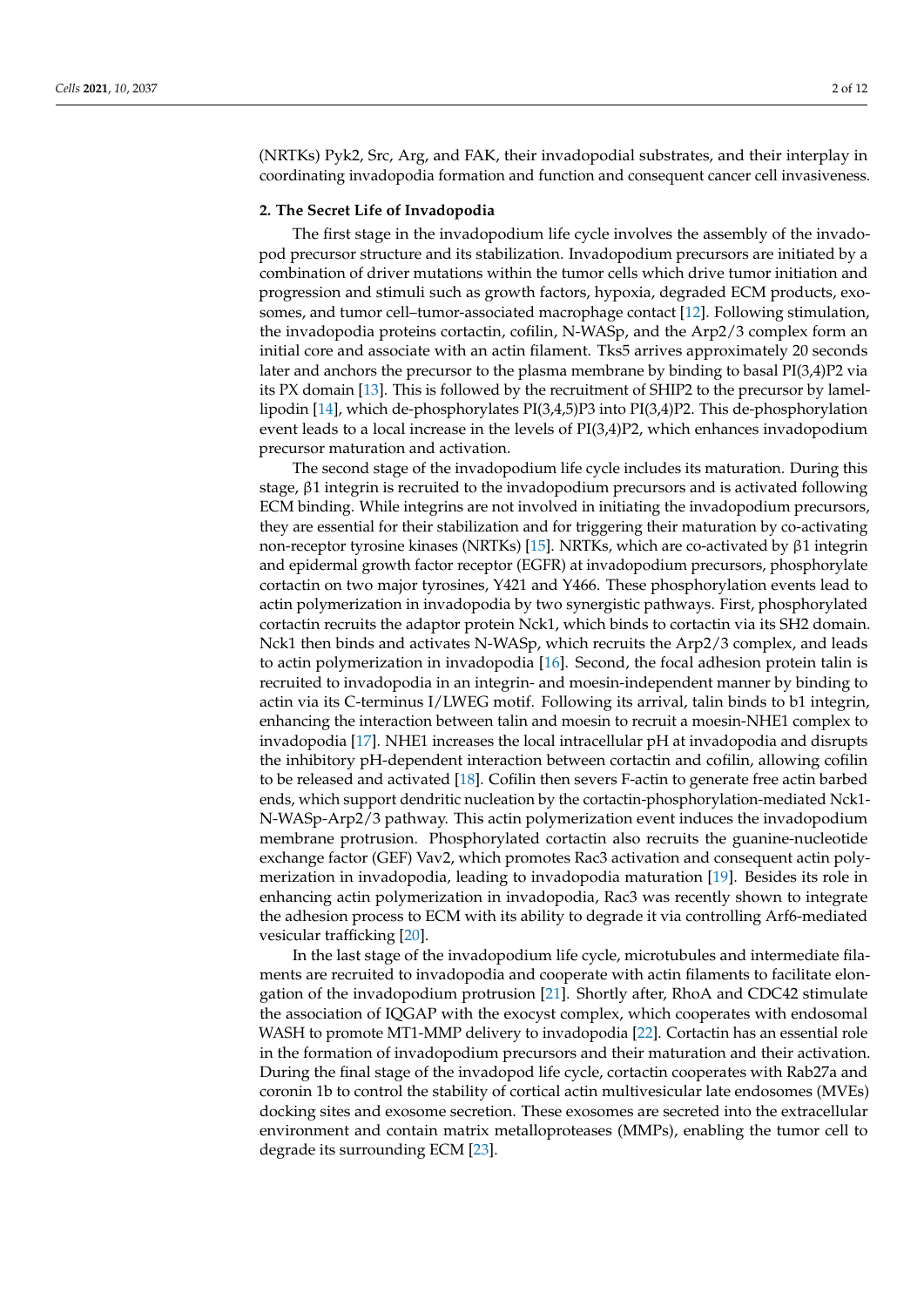(NRTKs) Pyk2, Src, Arg, and FAK, their invadopodial substrates, and their interplay in coordinating invadopodia formation and function and consequent cancer cell invasiveness.

#### **2. The Secret Life of Invadopodia**

The first stage in the invadopodium life cycle involves the assembly of the invadopod precursor structure and its stabilization. Invadopodium precursors are initiated by a combination of driver mutations within the tumor cells which drive tumor initiation and progression and stimuli such as growth factors, hypoxia, degraded ECM products, exosomes, and tumor cell–tumor-associated macrophage contact [\[12\]](#page-9-10). Following stimulation, the invadopodia proteins cortactin, cofilin, N-WASp, and the Arp2/3 complex form an initial core and associate with an actin filament. Tks5 arrives approximately 20 seconds later and anchors the precursor to the plasma membrane by binding to basal PI(3,4)P2 via its PX domain [\[13\]](#page-9-11). This is followed by the recruitment of SHIP2 to the precursor by lamellipodin [\[14\]](#page-9-12), which de-phosphorylates PI(3,4,5)P3 into PI(3,4)P2. This de-phosphorylation event leads to a local increase in the levels of PI(3,4)P2, which enhances invadopodium precursor maturation and activation.

The second stage of the invadopodium life cycle includes its maturation. During this stage, β1 integrin is recruited to the invadopodium precursors and is activated following ECM binding. While integrins are not involved in initiating the invadopodium precursors, they are essential for their stabilization and for triggering their maturation by co-activating non-receptor tyrosine kinases (NRTKs) [\[15\]](#page-9-13). NRTKs, which are co-activated by β1 integrin and epidermal growth factor receptor (EGFR) at invadopodium precursors, phosphorylate cortactin on two major tyrosines, Y421 and Y466. These phosphorylation events lead to actin polymerization in invadopodia by two synergistic pathways. First, phosphorylated cortactin recruits the adaptor protein Nck1, which binds to cortactin via its SH2 domain. Nck1 then binds and activates N-WASp, which recruits the Arp2/3 complex, and leads to actin polymerization in invadopodia [\[16\]](#page-9-14). Second, the focal adhesion protein talin is recruited to invadopodia in an integrin- and moesin-independent manner by binding to actin via its C-terminus I/LWEG motif. Following its arrival, talin binds to b1 integrin, enhancing the interaction between talin and moesin to recruit a moesin-NHE1 complex to invadopodia [\[17\]](#page-9-15). NHE1 increases the local intracellular pH at invadopodia and disrupts the inhibitory pH-dependent interaction between cortactin and cofilin, allowing cofilin to be released and activated [\[18\]](#page-9-16). Cofilin then severs F-actin to generate free actin barbed ends, which support dendritic nucleation by the cortactin-phosphorylation-mediated Nck1- N-WASp-Arp2/3 pathway. This actin polymerization event induces the invadopodium membrane protrusion. Phosphorylated cortactin also recruits the guanine-nucleotide exchange factor (GEF) Vav2, which promotes Rac3 activation and consequent actin polymerization in invadopodia, leading to invadopodia maturation [\[19\]](#page-9-17). Besides its role in enhancing actin polymerization in invadopodia, Rac3 was recently shown to integrate the adhesion process to ECM with its ability to degrade it via controlling Arf6-mediated vesicular trafficking [\[20\]](#page-9-18).

In the last stage of the invadopodium life cycle, microtubules and intermediate filaments are recruited to invadopodia and cooperate with actin filaments to facilitate elongation of the invadopodium protrusion [\[21\]](#page-9-19). Shortly after, RhoA and CDC42 stimulate the association of IQGAP with the exocyst complex, which cooperates with endosomal WASH to promote MT1-MMP delivery to invadopodia [\[22\]](#page-9-20). Cortactin has an essential role in the formation of invadopodium precursors and their maturation and their activation. During the final stage of the invadopod life cycle, cortactin cooperates with Rab27a and coronin 1b to control the stability of cortical actin multivesicular late endosomes (MVEs) docking sites and exosome secretion. These exosomes are secreted into the extracellular environment and contain matrix metalloproteases (MMPs), enabling the tumor cell to degrade its surrounding ECM [\[23\]](#page-9-21).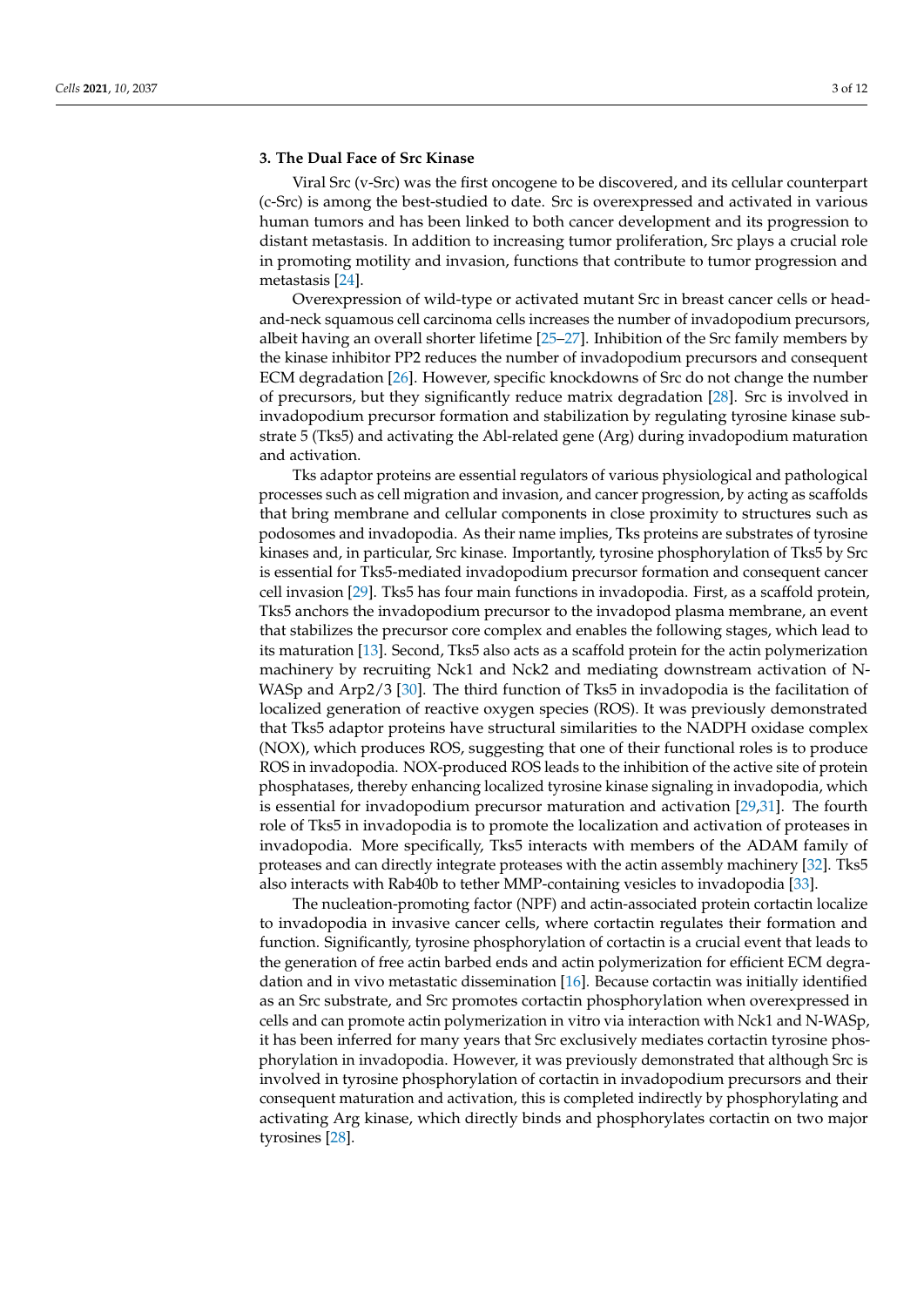# **3. The Dual Face of Src Kinase**

Viral Src (v-Src) was the first oncogene to be discovered, and its cellular counterpart (c-Src) is among the best-studied to date. Src is overexpressed and activated in various human tumors and has been linked to both cancer development and its progression to distant metastasis. In addition to increasing tumor proliferation, Src plays a crucial role in promoting motility and invasion, functions that contribute to tumor progression and metastasis [\[24\]](#page-9-22).

Overexpression of wild-type or activated mutant Src in breast cancer cells or headand-neck squamous cell carcinoma cells increases the number of invadopodium precursors, albeit having an overall shorter lifetime [\[25–](#page-10-0)[27\]](#page-10-1). Inhibition of the Src family members by the kinase inhibitor PP2 reduces the number of invadopodium precursors and consequent ECM degradation [\[26\]](#page-10-2). However, specific knockdowns of Src do not change the number of precursors, but they significantly reduce matrix degradation [\[28\]](#page-10-3). Src is involved in invadopodium precursor formation and stabilization by regulating tyrosine kinase substrate 5 (Tks5) and activating the Abl-related gene (Arg) during invadopodium maturation and activation.

Tks adaptor proteins are essential regulators of various physiological and pathological processes such as cell migration and invasion, and cancer progression, by acting as scaffolds that bring membrane and cellular components in close proximity to structures such as podosomes and invadopodia. As their name implies, Tks proteins are substrates of tyrosine kinases and, in particular, Src kinase. Importantly, tyrosine phosphorylation of Tks5 by Src is essential for Tks5-mediated invadopodium precursor formation and consequent cancer cell invasion [\[29\]](#page-10-4). Tks5 has four main functions in invadopodia. First, as a scaffold protein, Tks5 anchors the invadopodium precursor to the invadopod plasma membrane, an event that stabilizes the precursor core complex and enables the following stages, which lead to its maturation [\[13\]](#page-9-11). Second, Tks5 also acts as a scaffold protein for the actin polymerization machinery by recruiting Nck1 and Nck2 and mediating downstream activation of N-WASp and Arp2/3 [\[30\]](#page-10-5). The third function of Tks5 in invadopodia is the facilitation of localized generation of reactive oxygen species (ROS). It was previously demonstrated that Tks5 adaptor proteins have structural similarities to the NADPH oxidase complex (NOX), which produces ROS, suggesting that one of their functional roles is to produce ROS in invadopodia. NOX-produced ROS leads to the inhibition of the active site of protein phosphatases, thereby enhancing localized tyrosine kinase signaling in invadopodia, which is essential for invadopodium precursor maturation and activation [\[29](#page-10-4)[,31\]](#page-10-6). The fourth role of Tks5 in invadopodia is to promote the localization and activation of proteases in invadopodia. More specifically, Tks5 interacts with members of the ADAM family of proteases and can directly integrate proteases with the actin assembly machinery [\[32\]](#page-10-7). Tks5 also interacts with Rab40b to tether MMP-containing vesicles to invadopodia [\[33\]](#page-10-8).

The nucleation-promoting factor (NPF) and actin-associated protein cortactin localize to invadopodia in invasive cancer cells, where cortactin regulates their formation and function. Significantly, tyrosine phosphorylation of cortactin is a crucial event that leads to the generation of free actin barbed ends and actin polymerization for efficient ECM degradation and in vivo metastatic dissemination [\[16\]](#page-9-14). Because cortactin was initially identified as an Src substrate, and Src promotes cortactin phosphorylation when overexpressed in cells and can promote actin polymerization in vitro via interaction with Nck1 and N-WASp, it has been inferred for many years that Src exclusively mediates cortactin tyrosine phosphorylation in invadopodia. However, it was previously demonstrated that although Src is involved in tyrosine phosphorylation of cortactin in invadopodium precursors and their consequent maturation and activation, this is completed indirectly by phosphorylating and activating Arg kinase, which directly binds and phosphorylates cortactin on two major tyrosines [\[28\]](#page-10-3).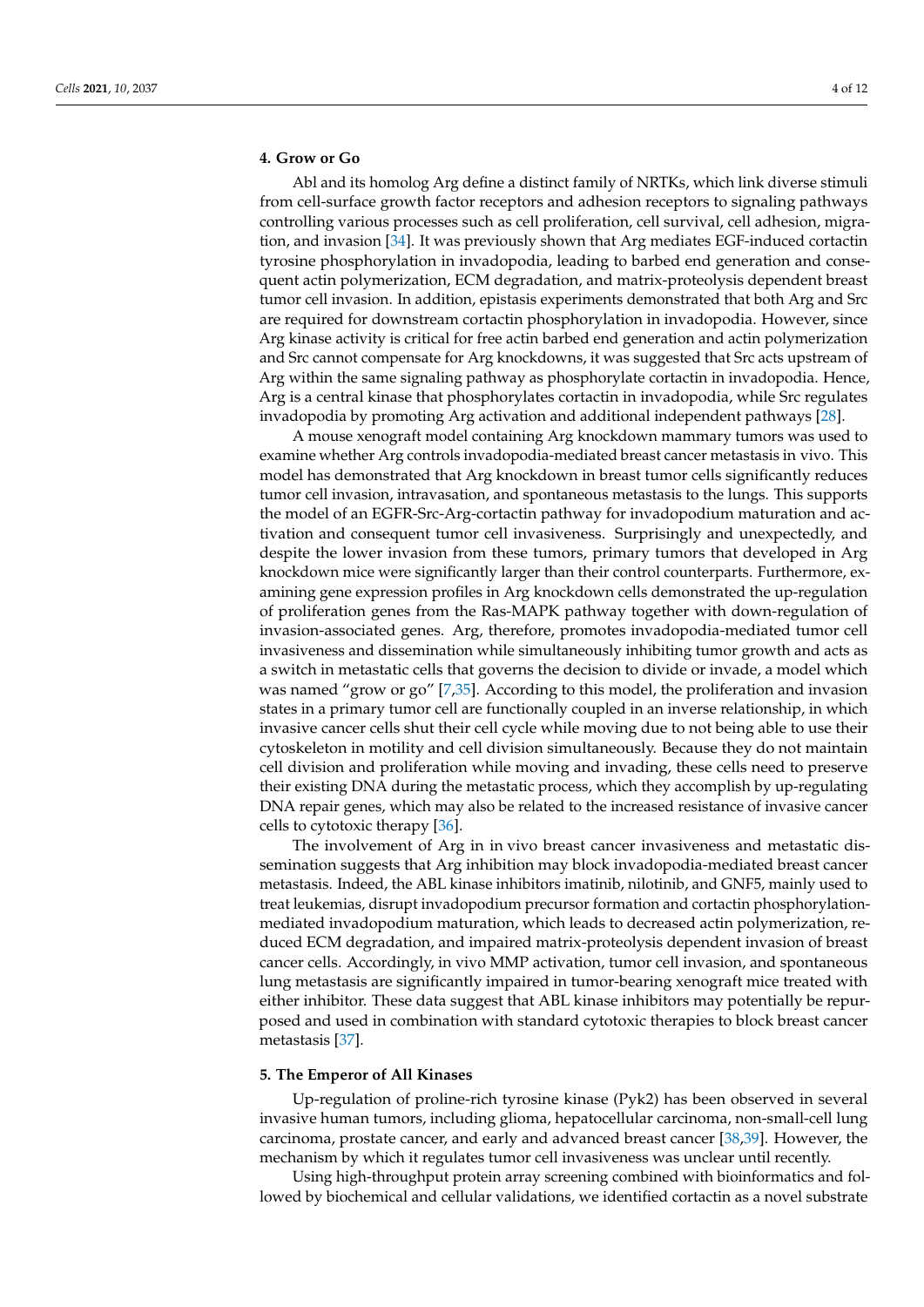# **4. Grow or Go**

Abl and its homolog Arg define a distinct family of NRTKs, which link diverse stimuli from cell-surface growth factor receptors and adhesion receptors to signaling pathways controlling various processes such as cell proliferation, cell survival, cell adhesion, migration, and invasion [\[34\]](#page-10-9). It was previously shown that Arg mediates EGF-induced cortactin tyrosine phosphorylation in invadopodia, leading to barbed end generation and consequent actin polymerization, ECM degradation, and matrix-proteolysis dependent breast tumor cell invasion. In addition, epistasis experiments demonstrated that both Arg and Src are required for downstream cortactin phosphorylation in invadopodia. However, since Arg kinase activity is critical for free actin barbed end generation and actin polymerization and Src cannot compensate for Arg knockdowns, it was suggested that Src acts upstream of Arg within the same signaling pathway as phosphorylate cortactin in invadopodia. Hence, Arg is a central kinase that phosphorylates cortactin in invadopodia, while Src regulates invadopodia by promoting Arg activation and additional independent pathways [\[28\]](#page-10-3).

A mouse xenograft model containing Arg knockdown mammary tumors was used to examine whether Arg controls invadopodia-mediated breast cancer metastasis in vivo. This model has demonstrated that Arg knockdown in breast tumor cells significantly reduces tumor cell invasion, intravasation, and spontaneous metastasis to the lungs. This supports the model of an EGFR-Src-Arg-cortactin pathway for invadopodium maturation and activation and consequent tumor cell invasiveness. Surprisingly and unexpectedly, and despite the lower invasion from these tumors, primary tumors that developed in Arg knockdown mice were significantly larger than their control counterparts. Furthermore, examining gene expression profiles in Arg knockdown cells demonstrated the up-regulation of proliferation genes from the Ras-MAPK pathway together with down-regulation of invasion-associated genes. Arg, therefore, promotes invadopodia-mediated tumor cell invasiveness and dissemination while simultaneously inhibiting tumor growth and acts as a switch in metastatic cells that governs the decision to divide or invade, a model which was named "grow or go" [\[7](#page-9-5)[,35\]](#page-10-10). According to this model, the proliferation and invasion states in a primary tumor cell are functionally coupled in an inverse relationship, in which invasive cancer cells shut their cell cycle while moving due to not being able to use their cytoskeleton in motility and cell division simultaneously. Because they do not maintain cell division and proliferation while moving and invading, these cells need to preserve their existing DNA during the metastatic process, which they accomplish by up-regulating DNA repair genes, which may also be related to the increased resistance of invasive cancer cells to cytotoxic therapy [\[36\]](#page-10-11).

The involvement of Arg in in vivo breast cancer invasiveness and metastatic dissemination suggests that Arg inhibition may block invadopodia-mediated breast cancer metastasis. Indeed, the ABL kinase inhibitors imatinib, nilotinib, and GNF5, mainly used to treat leukemias, disrupt invadopodium precursor formation and cortactin phosphorylationmediated invadopodium maturation, which leads to decreased actin polymerization, reduced ECM degradation, and impaired matrix-proteolysis dependent invasion of breast cancer cells. Accordingly, in vivo MMP activation, tumor cell invasion, and spontaneous lung metastasis are significantly impaired in tumor-bearing xenograft mice treated with either inhibitor. These data suggest that ABL kinase inhibitors may potentially be repurposed and used in combination with standard cytotoxic therapies to block breast cancer metastasis [\[37\]](#page-10-12).

## **5. The Emperor of All Kinases**

Up-regulation of proline-rich tyrosine kinase (Pyk2) has been observed in several invasive human tumors, including glioma, hepatocellular carcinoma, non-small-cell lung carcinoma, prostate cancer, and early and advanced breast cancer [\[38](#page-10-13)[,39\]](#page-10-14). However, the mechanism by which it regulates tumor cell invasiveness was unclear until recently.

Using high-throughput protein array screening combined with bioinformatics and followed by biochemical and cellular validations, we identified cortactin as a novel substrate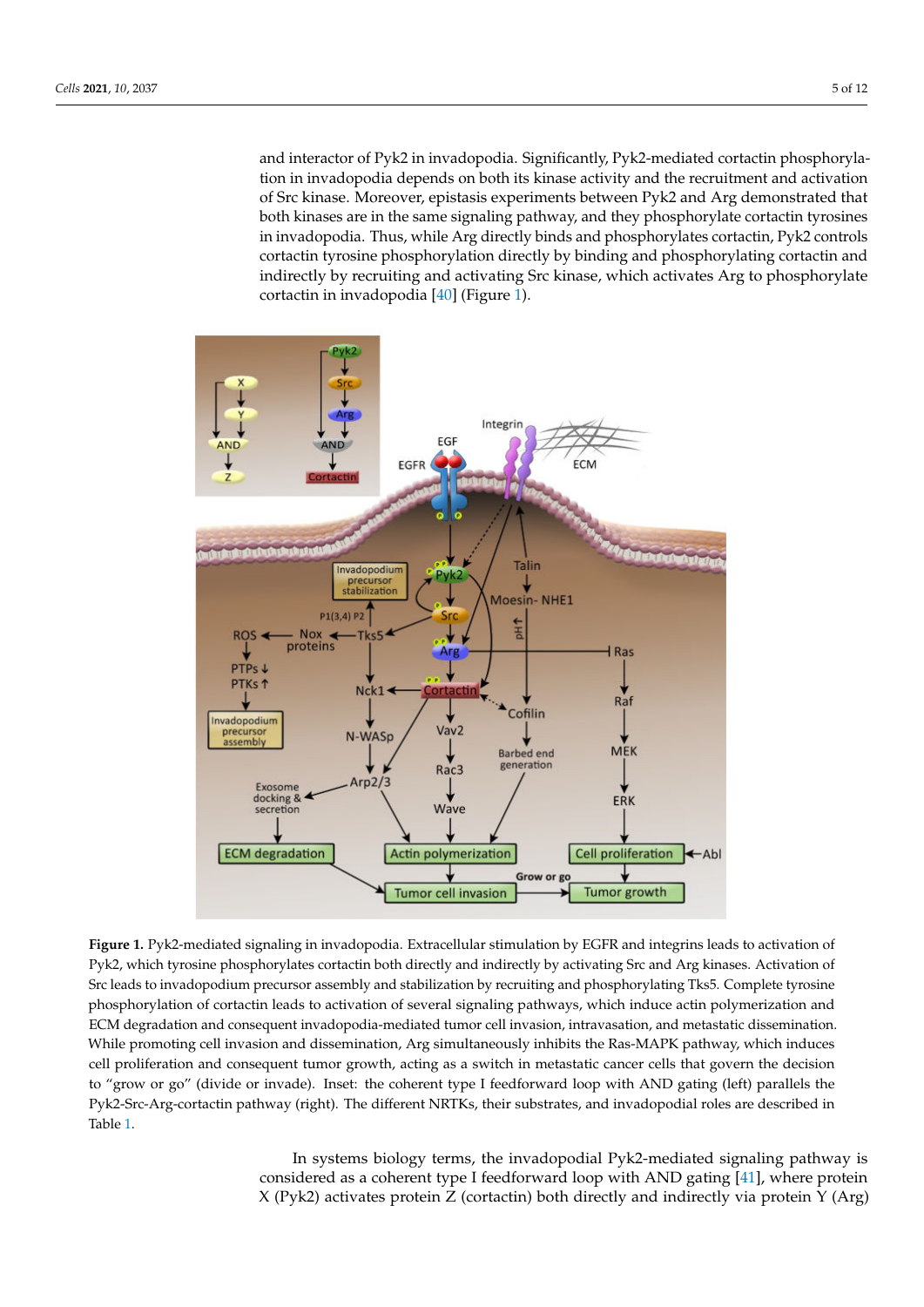and interactor of Pyk2 in invadopodia. Significantly, Pyk2-mediated cortactin phosphorylation in invadopodia depends on both its kinase activity and the recruitment and activation of Src kinase. Moreover, epistasis experiments between Pyk2 and Arg demonstrated that both kinases are in the same signaling pathway, and they phosphorylate cortactin tyrosines in invadopodia. Thus, while Arg directly binds and phosphorylates cortactin, Pyk2 controls cortactin tyrosine phosphorylation directly by binding and phosphorylating cortactin and indirectly by recruiting and activating Src kinase, which activates Arg to phosphorylate cortactin in invadopodia [\[40\]](#page-10-15) (Figure [1\)](#page-4-0).

<span id="page-4-0"></span>

**Figure 1.** Pyk2-mediated signaling in invadopodia. Extracellular stimulation by EGFR and integrins leads to activation of Pyk2, which tyrosine phosphorylates cortactin both directly and indirectly by activating Src and Arg kinases. Activation of Src leads to invadopodium precursor assembly and stabilization by recruiting and phosphorylating Tks5. Complete tyrosine phosphorylation of cortactin leads to activation of several signaling pathways, which induce actin polymerization and ECM degradation and consequent invadopodia-mediated tumor cell invasion, intravasation, and metastatic dissemination. While promoting cell invasion and dissemination, Arg simultaneously inhibits the Ras-MAPK pathway, which induces cell proliferation and consequent tumor growth, acting as a switch in metastatic cancer cells that govern the decision to "grow or go" (divide or invade). Inset: the coherent type I feedforward loop with AND gating (left) parallels the Pyk2-Src-Arg-cortactin pathway (right). The different NRTKs, their substrates, and invadopodial roles are described in Table [1.](#page-5-0)

In systems biology terms, the invadopodial Pyk2-mediated signaling pathway is considered as a coherent type I feedforward loop with AND gating [\[41\]](#page-10-16), where protein X (Pyk2) activates protein Z (cortactin) both directly and indirectly via protein Y (Arg)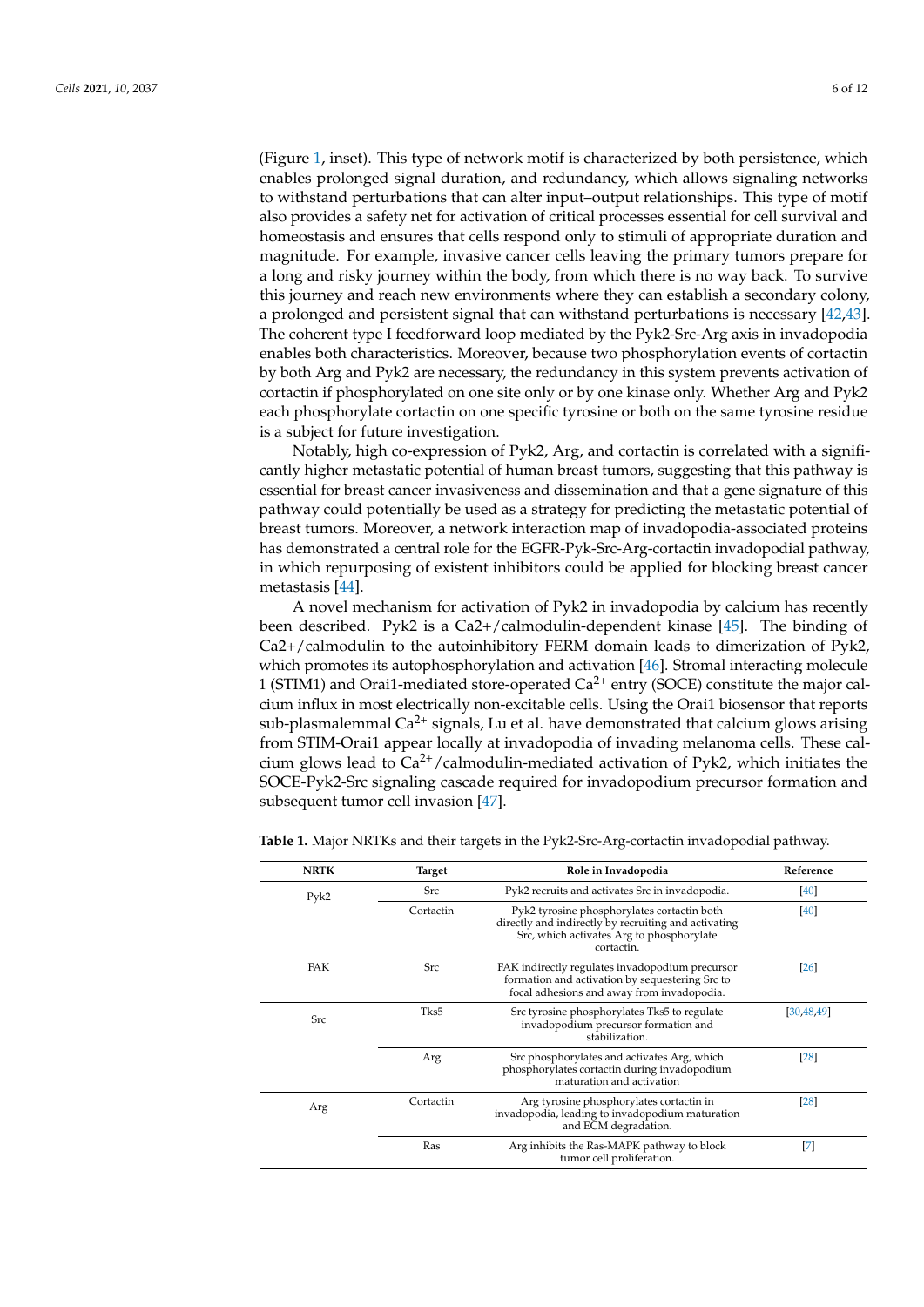(Figure [1,](#page-4-0) inset). This type of network motif is characterized by both persistence, which enables prolonged signal duration, and redundancy, which allows signaling networks to withstand perturbations that can alter input–output relationships. This type of motif also provides a safety net for activation of critical processes essential for cell survival and homeostasis and ensures that cells respond only to stimuli of appropriate duration and magnitude. For example, invasive cancer cells leaving the primary tumors prepare for a long and risky journey within the body, from which there is no way back. To survive this journey and reach new environments where they can establish a secondary colony, a prolonged and persistent signal that can withstand perturbations is necessary [\[42,](#page-10-17)[43\]](#page-10-18). The coherent type I feedforward loop mediated by the Pyk2-Src-Arg axis in invadopodia enables both characteristics. Moreover, because two phosphorylation events of cortactin by both Arg and Pyk2 are necessary, the redundancy in this system prevents activation of cortactin if phosphorylated on one site only or by one kinase only. Whether Arg and Pyk2 each phosphorylate cortactin on one specific tyrosine or both on the same tyrosine residue is a subject for future investigation.

Notably, high co-expression of Pyk2, Arg, and cortactin is correlated with a significantly higher metastatic potential of human breast tumors, suggesting that this pathway is essential for breast cancer invasiveness and dissemination and that a gene signature of this pathway could potentially be used as a strategy for predicting the metastatic potential of breast tumors. Moreover, a network interaction map of invadopodia-associated proteins has demonstrated a central role for the EGFR-Pyk-Src-Arg-cortactin invadopodial pathway, in which repurposing of existent inhibitors could be applied for blocking breast cancer metastasis [\[44\]](#page-10-19).

A novel mechanism for activation of Pyk2 in invadopodia by calcium has recently been described. Pyk2 is a Ca2+/calmodulin-dependent kinase [\[45\]](#page-10-20). The binding of Ca2+/calmodulin to the autoinhibitory FERM domain leads to dimerization of Pyk2, which promotes its autophosphorylation and activation [\[46\]](#page-10-21). Stromal interacting molecule 1 (STIM1) and Orai1-mediated store-operated  $Ca^{2+}$  entry (SOCE) constitute the major calcium influx in most electrically non-excitable cells. Using the Orai1 biosensor that reports sub-plasmalemmal  $Ca^{2+}$  signals, Lu et al. have demonstrated that calcium glows arising from STIM-Orai1 appear locally at invadopodia of invading melanoma cells. These calcium glows lead to  $Ca^{2+}/c$ almodulin-mediated activation of Pyk2, which initiates the SOCE-Pyk2-Src signaling cascade required for invadopodium precursor formation and subsequent tumor cell invasion [\[47\]](#page-10-22).

| <b>NRTK</b> | <b>Target</b> | Role in Invadopodia                                                                                                                                            | Reference          |
|-------------|---------------|----------------------------------------------------------------------------------------------------------------------------------------------------------------|--------------------|
| Pyk2        | <b>Src</b>    | Pyk2 recruits and activates Src in invadopodia.                                                                                                                | $[40]$             |
|             | Cortactin     | Pyk2 tyrosine phosphorylates cortactin both<br>directly and indirectly by recruiting and activating<br>Src, which activates Arg to phosphorylate<br>cortactin. | [40]               |
| FAK         | <b>Src</b>    | FAK indirectly regulates invadopodium precursor<br>formation and activation by sequestering Src to<br>focal adhesions and away from invadopodia.               | $\left[26\right]$  |
| <b>Src</b>  | Tks5          | Src tyrosine phosphorylates Tks5 to regulate<br>invadopodium precursor formation and<br>stabilization.                                                         | [30, 48, 49]       |
|             | Arg           | Src phosphorylates and activates Arg, which<br>phosphorylates cortactin during invadopodium<br>maturation and activation                                       | $\left[ 28\right]$ |
| Arg         | Cortactin     | Arg tyrosine phosphorylates cortactin in<br>invadopodia, leading to invadopodium maturation<br>and ECM degradation.                                            | $\left[ 28\right]$ |
|             | Ras           | Arg inhibits the Ras-MAPK pathway to block<br>tumor cell proliferation.                                                                                        | $^{[7]}$           |

<span id="page-5-0"></span>**Table 1.** Major NRTKs and their targets in the Pyk2-Src-Arg-cortactin invadopodial pathway.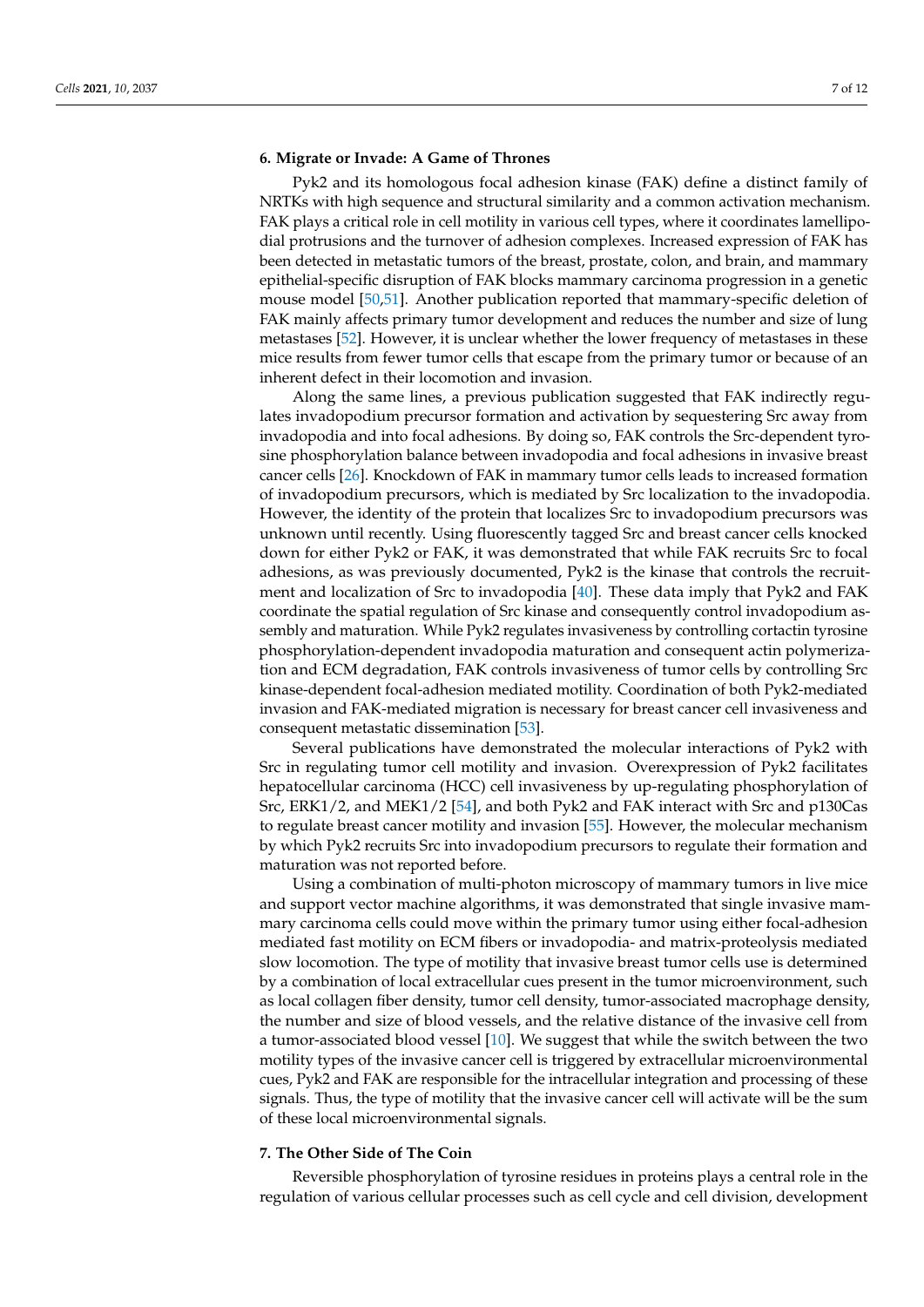#### **6. Migrate or Invade: A Game of Thrones**

Pyk2 and its homologous focal adhesion kinase (FAK) define a distinct family of NRTKs with high sequence and structural similarity and a common activation mechanism. FAK plays a critical role in cell motility in various cell types, where it coordinates lamellipodial protrusions and the turnover of adhesion complexes. Increased expression of FAK has been detected in metastatic tumors of the breast, prostate, colon, and brain, and mammary epithelial-specific disruption of FAK blocks mammary carcinoma progression in a genetic mouse model [\[50](#page-10-25)[,51\]](#page-10-26). Another publication reported that mammary-specific deletion of FAK mainly affects primary tumor development and reduces the number and size of lung metastases [\[52\]](#page-10-27). However, it is unclear whether the lower frequency of metastases in these mice results from fewer tumor cells that escape from the primary tumor or because of an inherent defect in their locomotion and invasion.

Along the same lines, a previous publication suggested that FAK indirectly regulates invadopodium precursor formation and activation by sequestering Src away from invadopodia and into focal adhesions. By doing so, FAK controls the Src-dependent tyrosine phosphorylation balance between invadopodia and focal adhesions in invasive breast cancer cells [\[26\]](#page-10-2). Knockdown of FAK in mammary tumor cells leads to increased formation of invadopodium precursors, which is mediated by Src localization to the invadopodia. However, the identity of the protein that localizes Src to invadopodium precursors was unknown until recently. Using fluorescently tagged Src and breast cancer cells knocked down for either Pyk2 or FAK, it was demonstrated that while FAK recruits Src to focal adhesions, as was previously documented, Pyk2 is the kinase that controls the recruitment and localization of Src to invadopodia [\[40\]](#page-10-15). These data imply that Pyk2 and FAK coordinate the spatial regulation of Src kinase and consequently control invadopodium assembly and maturation. While Pyk2 regulates invasiveness by controlling cortactin tyrosine phosphorylation-dependent invadopodia maturation and consequent actin polymerization and ECM degradation, FAK controls invasiveness of tumor cells by controlling Src kinase-dependent focal-adhesion mediated motility. Coordination of both Pyk2-mediated invasion and FAK-mediated migration is necessary for breast cancer cell invasiveness and consequent metastatic dissemination [\[53\]](#page-11-0).

Several publications have demonstrated the molecular interactions of Pyk2 with Src in regulating tumor cell motility and invasion. Overexpression of Pyk2 facilitates hepatocellular carcinoma (HCC) cell invasiveness by up-regulating phosphorylation of Src, ERK1/2, and MEK1/2 [\[54\]](#page-11-1), and both Pyk2 and FAK interact with Src and p130Cas to regulate breast cancer motility and invasion [\[55\]](#page-11-2). However, the molecular mechanism by which Pyk2 recruits Src into invadopodium precursors to regulate their formation and maturation was not reported before.

Using a combination of multi-photon microscopy of mammary tumors in live mice and support vector machine algorithms, it was demonstrated that single invasive mammary carcinoma cells could move within the primary tumor using either focal-adhesion mediated fast motility on ECM fibers or invadopodia- and matrix-proteolysis mediated slow locomotion. The type of motility that invasive breast tumor cells use is determined by a combination of local extracellular cues present in the tumor microenvironment, such as local collagen fiber density, tumor cell density, tumor-associated macrophage density, the number and size of blood vessels, and the relative distance of the invasive cell from a tumor-associated blood vessel [\[10\]](#page-9-8). We suggest that while the switch between the two motility types of the invasive cancer cell is triggered by extracellular microenvironmental cues, Pyk2 and FAK are responsible for the intracellular integration and processing of these signals. Thus, the type of motility that the invasive cancer cell will activate will be the sum of these local microenvironmental signals.

#### **7. The Other Side of The Coin**

Reversible phosphorylation of tyrosine residues in proteins plays a central role in the regulation of various cellular processes such as cell cycle and cell division, development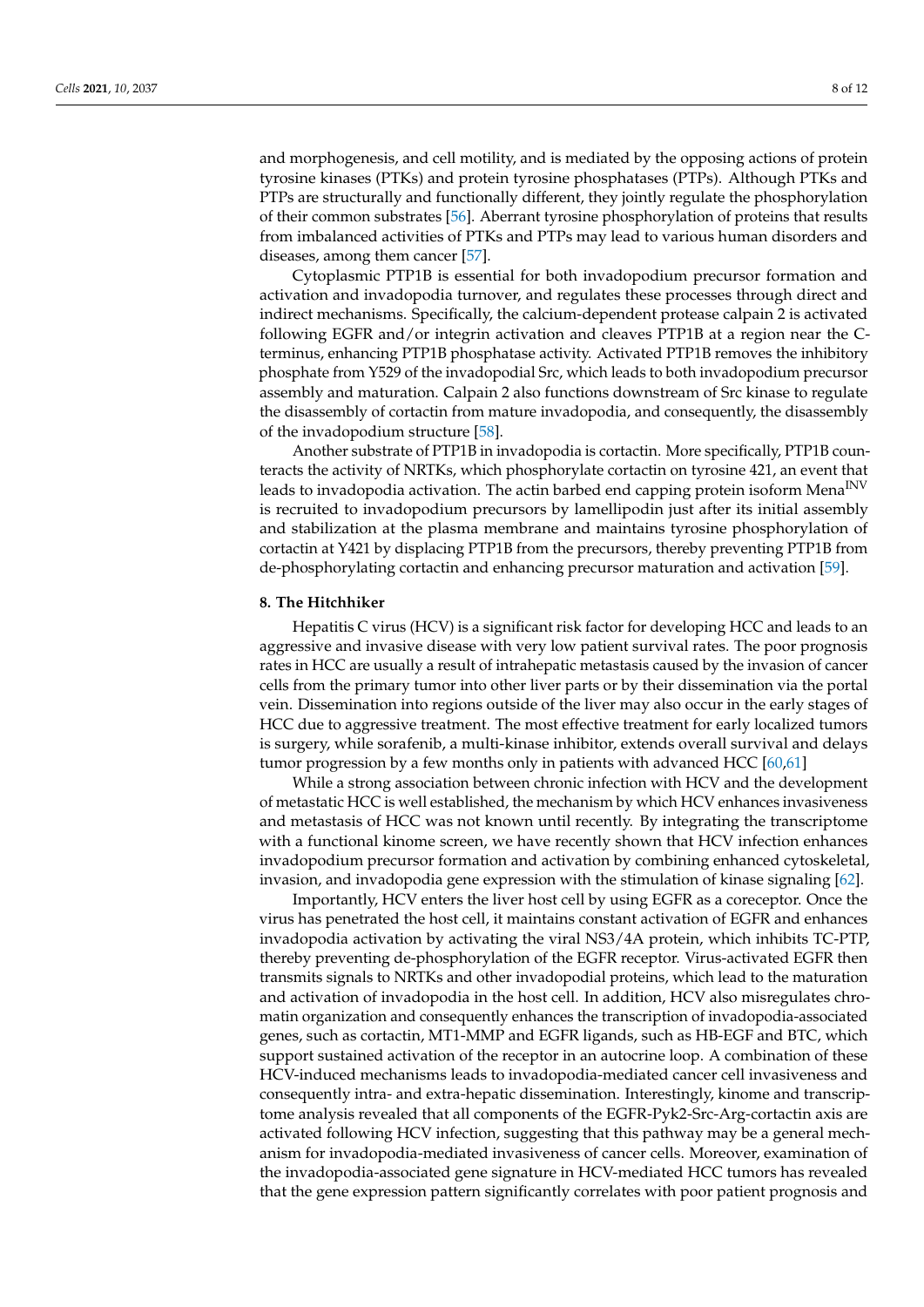and morphogenesis, and cell motility, and is mediated by the opposing actions of protein tyrosine kinases (PTKs) and protein tyrosine phosphatases (PTPs). Although PTKs and PTPs are structurally and functionally different, they jointly regulate the phosphorylation of their common substrates [\[56\]](#page-11-3). Aberrant tyrosine phosphorylation of proteins that results from imbalanced activities of PTKs and PTPs may lead to various human disorders and diseases, among them cancer [\[57\]](#page-11-4).

Cytoplasmic PTP1B is essential for both invadopodium precursor formation and activation and invadopodia turnover, and regulates these processes through direct and indirect mechanisms. Specifically, the calcium-dependent protease calpain 2 is activated following EGFR and/or integrin activation and cleaves PTP1B at a region near the Cterminus, enhancing PTP1B phosphatase activity. Activated PTP1B removes the inhibitory phosphate from Y529 of the invadopodial Src, which leads to both invadopodium precursor assembly and maturation. Calpain 2 also functions downstream of Src kinase to regulate the disassembly of cortactin from mature invadopodia, and consequently, the disassembly of the invadopodium structure [\[58\]](#page-11-5).

Another substrate of PTP1B in invadopodia is cortactin. More specifically, PTP1B counteracts the activity of NRTKs, which phosphorylate cortactin on tyrosine 421, an event that leads to invadopodia activation. The actin barbed end capping protein isoform Mena<sup>INV</sup> is recruited to invadopodium precursors by lamellipodin just after its initial assembly and stabilization at the plasma membrane and maintains tyrosine phosphorylation of cortactin at Y421 by displacing PTP1B from the precursors, thereby preventing PTP1B from de-phosphorylating cortactin and enhancing precursor maturation and activation [\[59\]](#page-11-6).

#### **8. The Hitchhiker**

Hepatitis C virus (HCV) is a significant risk factor for developing HCC and leads to an aggressive and invasive disease with very low patient survival rates. The poor prognosis rates in HCC are usually a result of intrahepatic metastasis caused by the invasion of cancer cells from the primary tumor into other liver parts or by their dissemination via the portal vein. Dissemination into regions outside of the liver may also occur in the early stages of HCC due to aggressive treatment. The most effective treatment for early localized tumors is surgery, while sorafenib, a multi-kinase inhibitor, extends overall survival and delays tumor progression by a few months only in patients with advanced HCC [\[60](#page-11-7)[,61\]](#page-11-8)

While a strong association between chronic infection with HCV and the development of metastatic HCC is well established, the mechanism by which HCV enhances invasiveness and metastasis of HCC was not known until recently. By integrating the transcriptome with a functional kinome screen, we have recently shown that HCV infection enhances invadopodium precursor formation and activation by combining enhanced cytoskeletal, invasion, and invadopodia gene expression with the stimulation of kinase signaling [\[62\]](#page-11-9).

Importantly, HCV enters the liver host cell by using EGFR as a coreceptor. Once the virus has penetrated the host cell, it maintains constant activation of EGFR and enhances invadopodia activation by activating the viral NS3/4A protein, which inhibits TC-PTP, thereby preventing de-phosphorylation of the EGFR receptor. Virus-activated EGFR then transmits signals to NRTKs and other invadopodial proteins, which lead to the maturation and activation of invadopodia in the host cell. In addition, HCV also misregulates chromatin organization and consequently enhances the transcription of invadopodia-associated genes, such as cortactin, MT1-MMP and EGFR ligands, such as HB-EGF and BTC, which support sustained activation of the receptor in an autocrine loop. A combination of these HCV-induced mechanisms leads to invadopodia-mediated cancer cell invasiveness and consequently intra- and extra-hepatic dissemination. Interestingly, kinome and transcriptome analysis revealed that all components of the EGFR-Pyk2-Src-Arg-cortactin axis are activated following HCV infection, suggesting that this pathway may be a general mechanism for invadopodia-mediated invasiveness of cancer cells. Moreover, examination of the invadopodia-associated gene signature in HCV-mediated HCC tumors has revealed that the gene expression pattern significantly correlates with poor patient prognosis and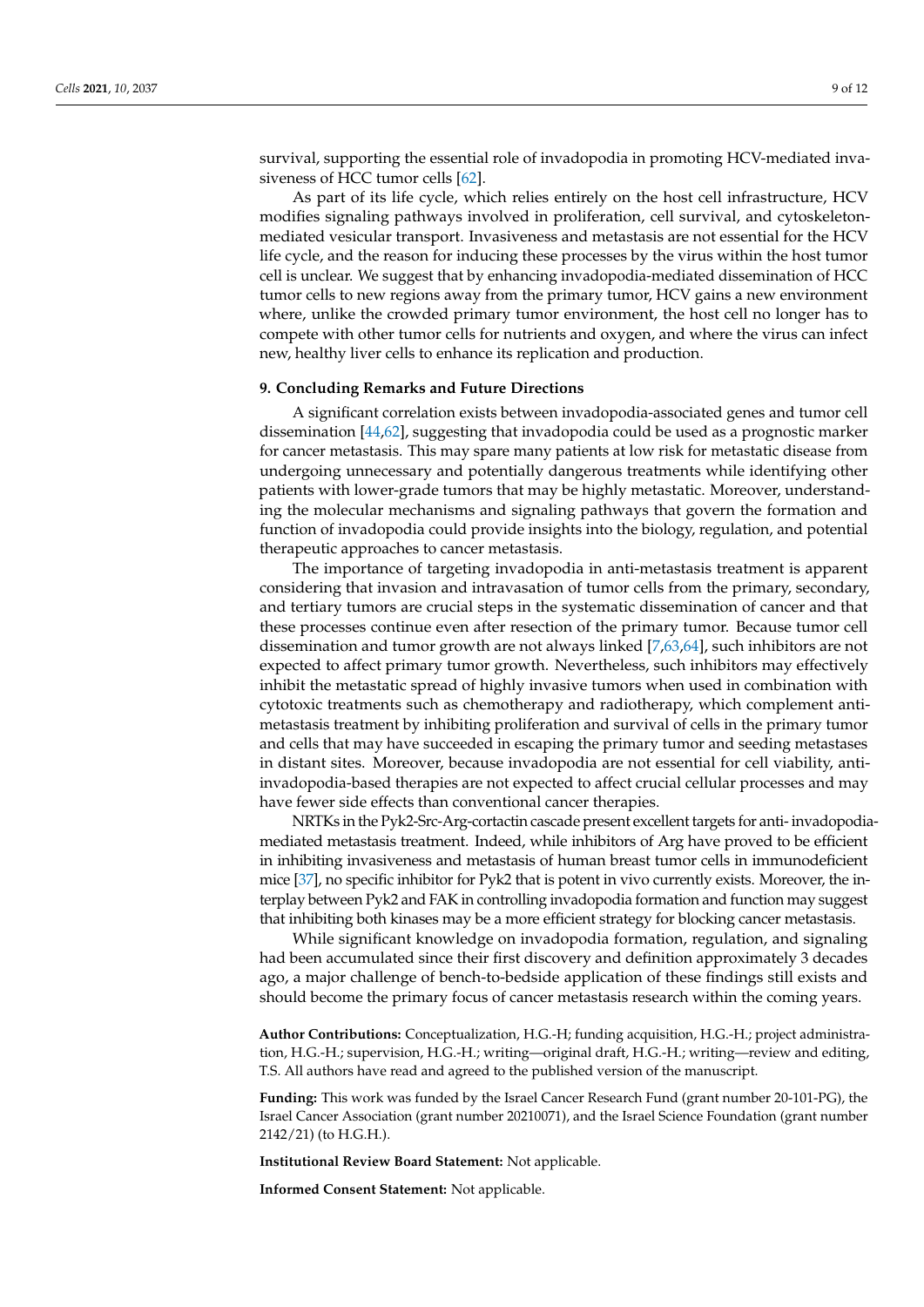survival, supporting the essential role of invadopodia in promoting HCV-mediated invasiveness of HCC tumor cells [\[62\]](#page-11-9).

As part of its life cycle, which relies entirely on the host cell infrastructure, HCV modifies signaling pathways involved in proliferation, cell survival, and cytoskeletonmediated vesicular transport. Invasiveness and metastasis are not essential for the HCV life cycle, and the reason for inducing these processes by the virus within the host tumor cell is unclear. We suggest that by enhancing invadopodia-mediated dissemination of HCC tumor cells to new regions away from the primary tumor, HCV gains a new environment where, unlike the crowded primary tumor environment, the host cell no longer has to compete with other tumor cells for nutrients and oxygen, and where the virus can infect new, healthy liver cells to enhance its replication and production.

#### **9. Concluding Remarks and Future Directions**

A significant correlation exists between invadopodia-associated genes and tumor cell dissemination [\[44,](#page-10-19)[62\]](#page-11-9), suggesting that invadopodia could be used as a prognostic marker for cancer metastasis. This may spare many patients at low risk for metastatic disease from undergoing unnecessary and potentially dangerous treatments while identifying other patients with lower-grade tumors that may be highly metastatic. Moreover, understanding the molecular mechanisms and signaling pathways that govern the formation and function of invadopodia could provide insights into the biology, regulation, and potential therapeutic approaches to cancer metastasis.

The importance of targeting invadopodia in anti-metastasis treatment is apparent considering that invasion and intravasation of tumor cells from the primary, secondary, and tertiary tumors are crucial steps in the systematic dissemination of cancer and that these processes continue even after resection of the primary tumor. Because tumor cell dissemination and tumor growth are not always linked [\[7](#page-9-5)[,63,](#page-11-10)[64\]](#page-11-11), such inhibitors are not expected to affect primary tumor growth. Nevertheless, such inhibitors may effectively inhibit the metastatic spread of highly invasive tumors when used in combination with cytotoxic treatments such as chemotherapy and radiotherapy, which complement antimetastasis treatment by inhibiting proliferation and survival of cells in the primary tumor and cells that may have succeeded in escaping the primary tumor and seeding metastases in distant sites. Moreover, because invadopodia are not essential for cell viability, antiinvadopodia-based therapies are not expected to affect crucial cellular processes and may have fewer side effects than conventional cancer therapies.

NRTKs in the Pyk2-Src-Arg-cortactin cascade present excellent targets for anti- invadopodiamediated metastasis treatment. Indeed, while inhibitors of Arg have proved to be efficient in inhibiting invasiveness and metastasis of human breast tumor cells in immunodeficient mice [\[37\]](#page-10-12), no specific inhibitor for Pyk2 that is potent in vivo currently exists. Moreover, the interplay between Pyk2 and FAK in controlling invadopodia formation and function may suggest that inhibiting both kinases may be a more efficient strategy for blocking cancer metastasis.

While significant knowledge on invadopodia formation, regulation, and signaling had been accumulated since their first discovery and definition approximately 3 decades ago, a major challenge of bench-to-bedside application of these findings still exists and should become the primary focus of cancer metastasis research within the coming years.

**Author Contributions:** Conceptualization, H.G.-H; funding acquisition, H.G.-H.; project administration, H.G.-H.; supervision, H.G.-H.; writing—original draft, H.G.-H.; writing—review and editing, T.S. All authors have read and agreed to the published version of the manuscript.

**Funding:** This work was funded by the Israel Cancer Research Fund (grant number 20-101-PG), the Israel Cancer Association (grant number 20210071), and the Israel Science Foundation (grant number 2142/21) (to H.G.H.).

**Institutional Review Board Statement:** Not applicable.

**Informed Consent Statement:** Not applicable.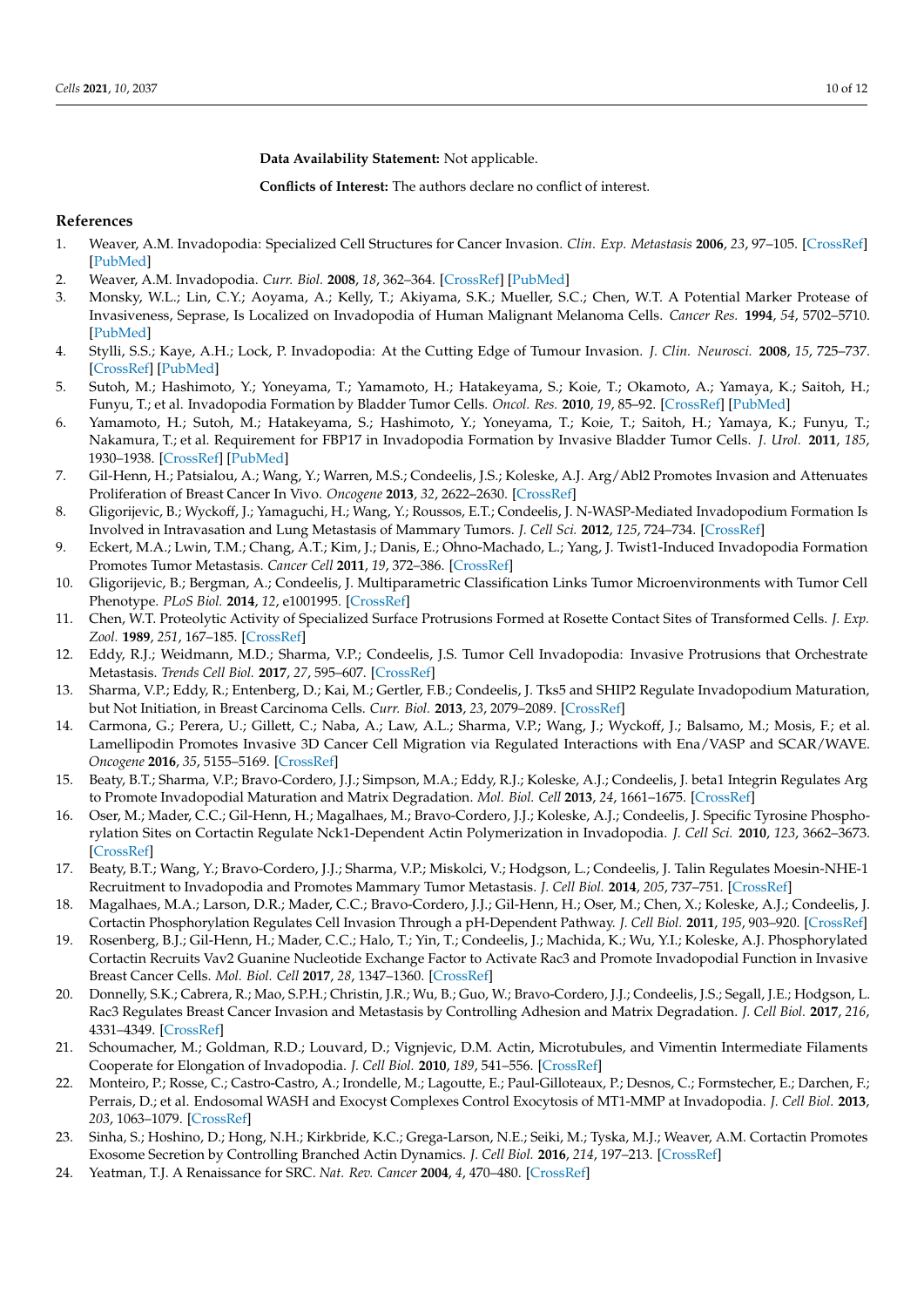**Data Availability Statement:** Not applicable.

**Conflicts of Interest:** The authors declare no conflict of interest.

## **References**

- <span id="page-9-0"></span>1. Weaver, A.M. Invadopodia: Specialized Cell Structures for Cancer Invasion. *Clin. Exp. Metastasis* **2006**, *23*, 97–105. [\[CrossRef\]](http://doi.org/10.1007/s10585-006-9014-1) [\[PubMed\]](http://www.ncbi.nlm.nih.gov/pubmed/16830222)
- <span id="page-9-1"></span>2. Weaver, A.M. Invadopodia. *Curr. Biol.* **2008**, *18*, 362–364. [\[CrossRef\]](http://doi.org/10.1016/j.cub.2008.02.028) [\[PubMed\]](http://www.ncbi.nlm.nih.gov/pubmed/18460310)
- <span id="page-9-2"></span>3. Monsky, W.L.; Lin, C.Y.; Aoyama, A.; Kelly, T.; Akiyama, S.K.; Mueller, S.C.; Chen, W.T. A Potential Marker Protease of Invasiveness, Seprase, Is Localized on Invadopodia of Human Malignant Melanoma Cells. *Cancer Res.* **1994**, *54*, 5702–5710. [\[PubMed\]](http://www.ncbi.nlm.nih.gov/pubmed/7923219)
- <span id="page-9-3"></span>4. Stylli, S.S.; Kaye, A.H.; Lock, P. Invadopodia: At the Cutting Edge of Tumour Invasion. *J. Clin. Neurosci.* **2008**, *15*, 725–737. [\[CrossRef\]](http://doi.org/10.1016/j.jocn.2008.03.003) [\[PubMed\]](http://www.ncbi.nlm.nih.gov/pubmed/18468901)
- 5. Sutoh, M.; Hashimoto, Y.; Yoneyama, T.; Yamamoto, H.; Hatakeyama, S.; Koie, T.; Okamoto, A.; Yamaya, K.; Saitoh, H.; Funyu, T.; et al. Invadopodia Formation by Bladder Tumor Cells. *Oncol. Res.* **2010**, *19*, 85–92. [\[CrossRef\]](http://doi.org/10.3727/096504010X12875107808008) [\[PubMed\]](http://www.ncbi.nlm.nih.gov/pubmed/21302809)
- <span id="page-9-4"></span>6. Yamamoto, H.; Sutoh, M.; Hatakeyama, S.; Hashimoto, Y.; Yoneyama, T.; Koie, T.; Saitoh, H.; Yamaya, K.; Funyu, T.; Nakamura, T.; et al. Requirement for FBP17 in Invadopodia Formation by Invasive Bladder Tumor Cells. *J. Urol.* **2011**, *185*, 1930–1938. [\[CrossRef\]](http://doi.org/10.1016/j.juro.2010.12.027) [\[PubMed\]](http://www.ncbi.nlm.nih.gov/pubmed/21421245)
- <span id="page-9-5"></span>7. Gil-Henn, H.; Patsialou, A.; Wang, Y.; Warren, M.S.; Condeelis, J.S.; Koleske, A.J. Arg/Abl2 Promotes Invasion and Attenuates Proliferation of Breast Cancer In Vivo. *Oncogene* **2013**, *32*, 2622–2630. [\[CrossRef\]](http://doi.org/10.1038/onc.2012.284)
- <span id="page-9-6"></span>8. Gligorijevic, B.; Wyckoff, J.; Yamaguchi, H.; Wang, Y.; Roussos, E.T.; Condeelis, J. N-WASP-Mediated Invadopodium Formation Is Involved in Intravasation and Lung Metastasis of Mammary Tumors. *J. Cell Sci.* **2012**, *125*, 724–734. [\[CrossRef\]](http://doi.org/10.1242/jcs.092726)
- <span id="page-9-7"></span>9. Eckert, M.A.; Lwin, T.M.; Chang, A.T.; Kim, J.; Danis, E.; Ohno-Machado, L.; Yang, J. Twist1-Induced Invadopodia Formation Promotes Tumor Metastasis. *Cancer Cell* **2011**, *19*, 372–386. [\[CrossRef\]](http://doi.org/10.1016/j.ccr.2011.01.036)
- <span id="page-9-8"></span>10. Gligorijevic, B.; Bergman, A.; Condeelis, J. Multiparametric Classification Links Tumor Microenvironments with Tumor Cell Phenotype. *PLoS Biol.* **2014**, *12*, e1001995. [\[CrossRef\]](http://doi.org/10.1371/journal.pbio.1001995)
- <span id="page-9-9"></span>11. Chen, W.T. Proteolytic Activity of Specialized Surface Protrusions Formed at Rosette Contact Sites of Transformed Cells. *J. Exp. Zool.* **1989**, *251*, 167–185. [\[CrossRef\]](http://doi.org/10.1002/jez.1402510206)
- <span id="page-9-10"></span>12. Eddy, R.J.; Weidmann, M.D.; Sharma, V.P.; Condeelis, J.S. Tumor Cell Invadopodia: Invasive Protrusions that Orchestrate Metastasis. *Trends Cell Biol.* **2017**, *27*, 595–607. [\[CrossRef\]](http://doi.org/10.1016/j.tcb.2017.03.003)
- <span id="page-9-11"></span>13. Sharma, V.P.; Eddy, R.; Entenberg, D.; Kai, M.; Gertler, F.B.; Condeelis, J. Tks5 and SHIP2 Regulate Invadopodium Maturation, but Not Initiation, in Breast Carcinoma Cells. *Curr. Biol.* **2013**, *23*, 2079–2089. [\[CrossRef\]](http://doi.org/10.1016/j.cub.2013.08.044)
- <span id="page-9-12"></span>14. Carmona, G.; Perera, U.; Gillett, C.; Naba, A.; Law, A.L.; Sharma, V.P.; Wang, J.; Wyckoff, J.; Balsamo, M.; Mosis, F.; et al. Lamellipodin Promotes Invasive 3D Cancer Cell Migration via Regulated Interactions with Ena/VASP and SCAR/WAVE. *Oncogene* **2016**, *35*, 5155–5169. [\[CrossRef\]](http://doi.org/10.1038/onc.2016.47)
- <span id="page-9-13"></span>15. Beaty, B.T.; Sharma, V.P.; Bravo-Cordero, J.J.; Simpson, M.A.; Eddy, R.J.; Koleske, A.J.; Condeelis, J. beta1 Integrin Regulates Arg to Promote Invadopodial Maturation and Matrix Degradation. *Mol. Biol. Cell* **2013**, *24*, 1661–1675. [\[CrossRef\]](http://doi.org/10.1091/mbc.e12-12-0908)
- <span id="page-9-14"></span>16. Oser, M.; Mader, C.C.; Gil-Henn, H.; Magalhaes, M.; Bravo-Cordero, J.J.; Koleske, A.J.; Condeelis, J. Specific Tyrosine Phosphorylation Sites on Cortactin Regulate Nck1-Dependent Actin Polymerization in Invadopodia. *J. Cell Sci.* **2010**, *123*, 3662–3673. [\[CrossRef\]](http://doi.org/10.1242/jcs.068163)
- <span id="page-9-15"></span>17. Beaty, B.T.; Wang, Y.; Bravo-Cordero, J.J.; Sharma, V.P.; Miskolci, V.; Hodgson, L.; Condeelis, J. Talin Regulates Moesin-NHE-1 Recruitment to Invadopodia and Promotes Mammary Tumor Metastasis. *J. Cell Biol.* **2014**, *205*, 737–751. [\[CrossRef\]](http://doi.org/10.1083/jcb.201312046)
- <span id="page-9-16"></span>18. Magalhaes, M.A.; Larson, D.R.; Mader, C.C.; Bravo-Cordero, J.J.; Gil-Henn, H.; Oser, M.; Chen, X.; Koleske, A.J.; Condeelis, J. Cortactin Phosphorylation Regulates Cell Invasion Through a pH-Dependent Pathway. *J. Cell Biol.* **2011**, *195*, 903–920. [\[CrossRef\]](http://doi.org/10.1083/jcb.201103045)
- <span id="page-9-17"></span>19. Rosenberg, B.J.; Gil-Henn, H.; Mader, C.C.; Halo, T.; Yin, T.; Condeelis, J.; Machida, K.; Wu, Y.I.; Koleske, A.J. Phosphorylated Cortactin Recruits Vav2 Guanine Nucleotide Exchange Factor to Activate Rac3 and Promote Invadopodial Function in Invasive Breast Cancer Cells. *Mol. Biol. Cell* **2017**, *28*, 1347–1360. [\[CrossRef\]](http://doi.org/10.1091/mbc.e16-12-0885)
- <span id="page-9-18"></span>20. Donnelly, S.K.; Cabrera, R.; Mao, S.P.H.; Christin, J.R.; Wu, B.; Guo, W.; Bravo-Cordero, J.J.; Condeelis, J.S.; Segall, J.E.; Hodgson, L. Rac3 Regulates Breast Cancer Invasion and Metastasis by Controlling Adhesion and Matrix Degradation. *J. Cell Biol.* **2017**, *216*, 4331–4349. [\[CrossRef\]](http://doi.org/10.1083/jcb.201704048)
- <span id="page-9-19"></span>21. Schoumacher, M.; Goldman, R.D.; Louvard, D.; Vignjevic, D.M. Actin, Microtubules, and Vimentin Intermediate Filaments Cooperate for Elongation of Invadopodia. *J. Cell Biol.* **2010**, *189*, 541–556. [\[CrossRef\]](http://doi.org/10.1083/jcb.200909113)
- <span id="page-9-20"></span>22. Monteiro, P.; Rosse, C.; Castro-Castro, A.; Irondelle, M.; Lagoutte, E.; Paul-Gilloteaux, P.; Desnos, C.; Formstecher, E.; Darchen, F.; Perrais, D.; et al. Endosomal WASH and Exocyst Complexes Control Exocytosis of MT1-MMP at Invadopodia. *J. Cell Biol.* **2013**, *203*, 1063–1079. [\[CrossRef\]](http://doi.org/10.1083/jcb.201306162)
- <span id="page-9-21"></span>23. Sinha, S.; Hoshino, D.; Hong, N.H.; Kirkbride, K.C.; Grega-Larson, N.E.; Seiki, M.; Tyska, M.J.; Weaver, A.M. Cortactin Promotes Exosome Secretion by Controlling Branched Actin Dynamics. *J. Cell Biol.* **2016**, *214*, 197–213. [\[CrossRef\]](http://doi.org/10.1083/jcb.201601025)
- <span id="page-9-22"></span>24. Yeatman, T.J. A Renaissance for SRC. *Nat. Rev. Cancer* **2004**, *4*, 470–480. [\[CrossRef\]](http://doi.org/10.1038/nrc1366)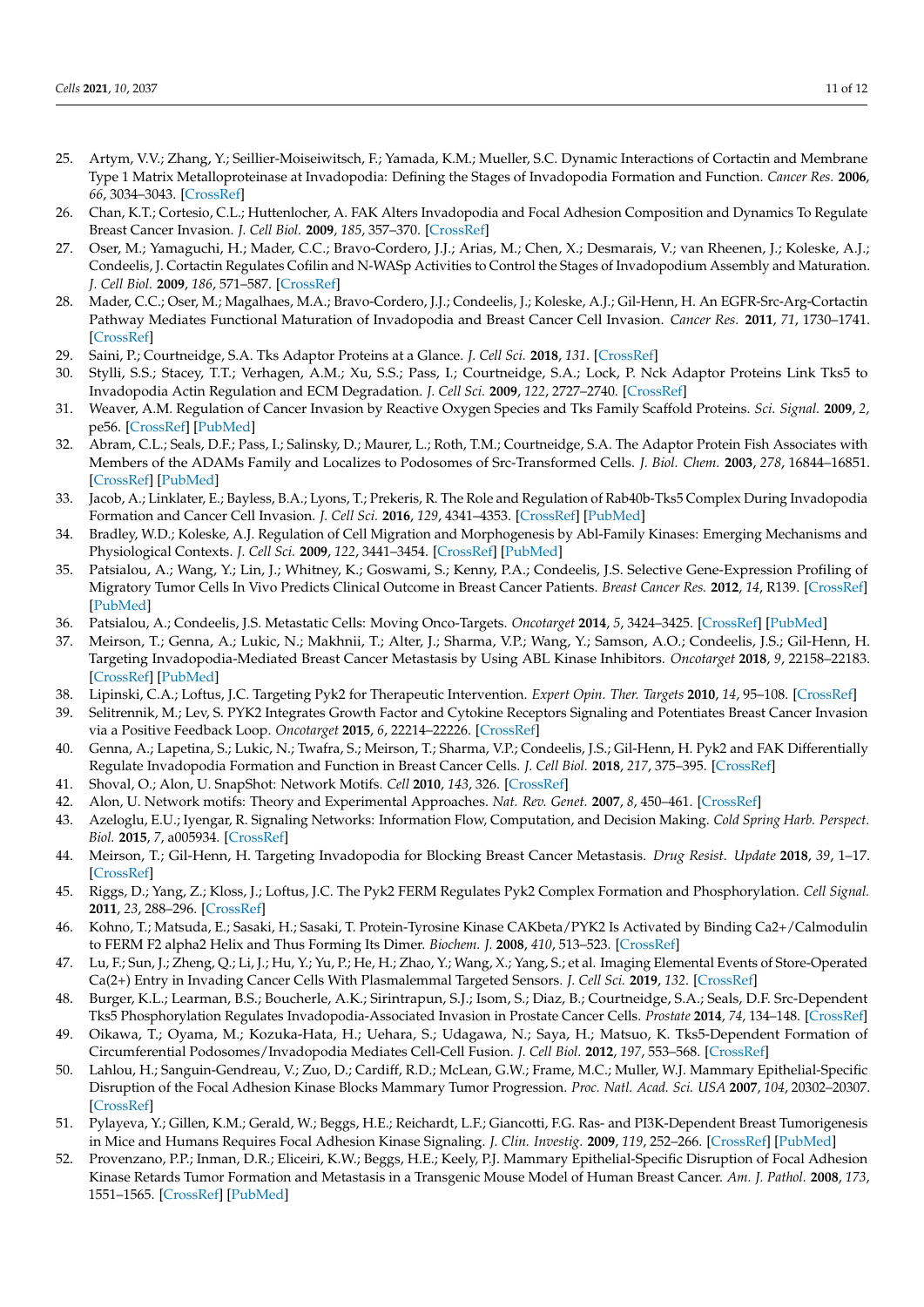- <span id="page-10-0"></span>25. Artym, V.V.; Zhang, Y.; Seillier-Moiseiwitsch, F.; Yamada, K.M.; Mueller, S.C. Dynamic Interactions of Cortactin and Membrane Type 1 Matrix Metalloproteinase at Invadopodia: Defining the Stages of Invadopodia Formation and Function. *Cancer Res.* **2006**, *66*, 3034–3043. [\[CrossRef\]](http://doi.org/10.1158/0008-5472.CAN-05-2177)
- <span id="page-10-2"></span>26. Chan, K.T.; Cortesio, C.L.; Huttenlocher, A. FAK Alters Invadopodia and Focal Adhesion Composition and Dynamics To Regulate Breast Cancer Invasion. *J. Cell Biol.* **2009**, *185*, 357–370. [\[CrossRef\]](http://doi.org/10.1083/jcb.200809110)
- <span id="page-10-1"></span>27. Oser, M.; Yamaguchi, H.; Mader, C.C.; Bravo-Cordero, J.J.; Arias, M.; Chen, X.; Desmarais, V.; van Rheenen, J.; Koleske, A.J.; Condeelis, J. Cortactin Regulates Cofilin and N-WASp Activities to Control the Stages of Invadopodium Assembly and Maturation. *J. Cell Biol.* **2009**, *186*, 571–587. [\[CrossRef\]](http://doi.org/10.1083/jcb.200812176)
- <span id="page-10-3"></span>28. Mader, C.C.; Oser, M.; Magalhaes, M.A.; Bravo-Cordero, J.J.; Condeelis, J.; Koleske, A.J.; Gil-Henn, H. An EGFR-Src-Arg-Cortactin Pathway Mediates Functional Maturation of Invadopodia and Breast Cancer Cell Invasion. *Cancer Res.* **2011**, *71*, 1730–1741. [\[CrossRef\]](http://doi.org/10.1158/0008-5472.CAN-10-1432)
- <span id="page-10-4"></span>29. Saini, P.; Courtneidge, S.A. Tks Adaptor Proteins at a Glance. *J. Cell Sci.* **2018**, *131*. [\[CrossRef\]](http://doi.org/10.1242/jcs.203661)
- <span id="page-10-5"></span>30. Stylli, S.S.; Stacey, T.T.; Verhagen, A.M.; Xu, S.S.; Pass, I.; Courtneidge, S.A.; Lock, P. Nck Adaptor Proteins Link Tks5 to Invadopodia Actin Regulation and ECM Degradation. *J. Cell Sci.* **2009**, *122*, 2727–2740. [\[CrossRef\]](http://doi.org/10.1242/jcs.046680)
- <span id="page-10-6"></span>31. Weaver, A.M. Regulation of Cancer Invasion by Reactive Oxygen Species and Tks Family Scaffold Proteins. *Sci. Signal.* **2009**, *2*, pe56. [\[CrossRef\]](http://doi.org/10.1126/scisignal.288pe56) [\[PubMed\]](http://www.ncbi.nlm.nih.gov/pubmed/19755707)
- <span id="page-10-7"></span>32. Abram, C.L.; Seals, D.F.; Pass, I.; Salinsky, D.; Maurer, L.; Roth, T.M.; Courtneidge, S.A. The Adaptor Protein Fish Associates with Members of the ADAMs Family and Localizes to Podosomes of Src-Transformed Cells. *J. Biol. Chem.* **2003**, *278*, 16844–16851. [\[CrossRef\]](http://doi.org/10.1074/jbc.M300267200) [\[PubMed\]](http://www.ncbi.nlm.nih.gov/pubmed/12615925)
- <span id="page-10-8"></span>33. Jacob, A.; Linklater, E.; Bayless, B.A.; Lyons, T.; Prekeris, R. The Role and Regulation of Rab40b-Tks5 Complex During Invadopodia Formation and Cancer Cell Invasion. *J. Cell Sci.* **2016**, *129*, 4341–4353. [\[CrossRef\]](http://doi.org/10.1242/jcs.193904) [\[PubMed\]](http://www.ncbi.nlm.nih.gov/pubmed/27789576)
- <span id="page-10-9"></span>34. Bradley, W.D.; Koleske, A.J. Regulation of Cell Migration and Morphogenesis by Abl-Family Kinases: Emerging Mechanisms and Physiological Contexts. *J. Cell Sci.* **2009**, *122*, 3441–3454. [\[CrossRef\]](http://doi.org/10.1242/jcs.039859) [\[PubMed\]](http://www.ncbi.nlm.nih.gov/pubmed/19759284)
- <span id="page-10-10"></span>35. Patsialou, A.; Wang, Y.; Lin, J.; Whitney, K.; Goswami, S.; Kenny, P.A.; Condeelis, J.S. Selective Gene-Expression Profiling of Migratory Tumor Cells In Vivo Predicts Clinical Outcome in Breast Cancer Patients. *Breast Cancer Res.* **2012**, *14*, R139. [\[CrossRef\]](http://doi.org/10.1186/bcr3344) [\[PubMed\]](http://www.ncbi.nlm.nih.gov/pubmed/23113900)
- <span id="page-10-11"></span>36. Patsialou, A.; Condeelis, J.S. Metastatic Cells: Moving Onco-Targets. *Oncotarget* **2014**, *5*, 3424–3425. [\[CrossRef\]](http://doi.org/10.18632/oncotarget.2057) [\[PubMed\]](http://www.ncbi.nlm.nih.gov/pubmed/24907202)
- <span id="page-10-12"></span>37. Meirson, T.; Genna, A.; Lukic, N.; Makhnii, T.; Alter, J.; Sharma, V.P.; Wang, Y.; Samson, A.O.; Condeelis, J.S.; Gil-Henn, H. Targeting Invadopodia-Mediated Breast Cancer Metastasis by Using ABL Kinase Inhibitors. *Oncotarget* **2018**, *9*, 22158–22183. [\[CrossRef\]](http://doi.org/10.18632/oncotarget.25243) [\[PubMed\]](http://www.ncbi.nlm.nih.gov/pubmed/29774130)
- <span id="page-10-13"></span>38. Lipinski, C.A.; Loftus, J.C. Targeting Pyk2 for Therapeutic Intervention. *Expert Opin. Ther. Targets* **2010**, *14*, 95–108. [\[CrossRef\]](http://doi.org/10.1517/14728220903473194)
- <span id="page-10-14"></span>39. Selitrennik, M.; Lev, S. PYK2 Integrates Growth Factor and Cytokine Receptors Signaling and Potentiates Breast Cancer Invasion via a Positive Feedback Loop. *Oncotarget* **2015**, *6*, 22214–22226. [\[CrossRef\]](http://doi.org/10.18632/oncotarget.4257)
- <span id="page-10-15"></span>40. Genna, A.; Lapetina, S.; Lukic, N.; Twafra, S.; Meirson, T.; Sharma, V.P.; Condeelis, J.S.; Gil-Henn, H. Pyk2 and FAK Differentially Regulate Invadopodia Formation and Function in Breast Cancer Cells. *J. Cell Biol.* **2018**, *217*, 375–395. [\[CrossRef\]](http://doi.org/10.1083/jcb.201702184)
- <span id="page-10-16"></span>41. Shoval, O.; Alon, U. SnapShot: Network Motifs. *Cell* **2010**, *143*, 326. [\[CrossRef\]](http://doi.org/10.1016/j.cell.2010.09.050)
- <span id="page-10-17"></span>42. Alon, U. Network motifs: Theory and Experimental Approaches. *Nat. Rev. Genet.* **2007**, *8*, 450–461. [\[CrossRef\]](http://doi.org/10.1038/nrg2102)
- <span id="page-10-18"></span>43. Azeloglu, E.U.; Iyengar, R. Signaling Networks: Information Flow, Computation, and Decision Making. *Cold Spring Harb. Perspect. Biol.* **2015**, *7*, a005934. [\[CrossRef\]](http://doi.org/10.1101/cshperspect.a005934)
- <span id="page-10-19"></span>44. Meirson, T.; Gil-Henn, H. Targeting Invadopodia for Blocking Breast Cancer Metastasis. *Drug Resist. Update* **2018**, *39*, 1–17. [\[CrossRef\]](http://doi.org/10.1016/j.drup.2018.05.002)
- <span id="page-10-20"></span>45. Riggs, D.; Yang, Z.; Kloss, J.; Loftus, J.C. The Pyk2 FERM Regulates Pyk2 Complex Formation and Phosphorylation. *Cell Signal.* **2011**, *23*, 288–296. [\[CrossRef\]](http://doi.org/10.1016/j.cellsig.2010.09.015)
- <span id="page-10-21"></span>46. Kohno, T.; Matsuda, E.; Sasaki, H.; Sasaki, T. Protein-Tyrosine Kinase CAKbeta/PYK2 Is Activated by Binding Ca2+/Calmodulin to FERM F2 alpha2 Helix and Thus Forming Its Dimer. *Biochem. J.* **2008**, *410*, 513–523. [\[CrossRef\]](http://doi.org/10.1042/BJ20070665)
- <span id="page-10-22"></span>47. Lu, F.; Sun, J.; Zheng, Q.; Li, J.; Hu, Y.; Yu, P.; He, H.; Zhao, Y.; Wang, X.; Yang, S.; et al. Imaging Elemental Events of Store-Operated Ca(2+) Entry in Invading Cancer Cells With Plasmalemmal Targeted Sensors. *J. Cell Sci.* **2019**, *132*. [\[CrossRef\]](http://doi.org/10.1242/jcs.224923)
- <span id="page-10-23"></span>48. Burger, K.L.; Learman, B.S.; Boucherle, A.K.; Sirintrapun, S.J.; Isom, S.; Diaz, B.; Courtneidge, S.A.; Seals, D.F. Src-Dependent Tks5 Phosphorylation Regulates Invadopodia-Associated Invasion in Prostate Cancer Cells. *Prostate* **2014**, *74*, 134–148. [\[CrossRef\]](http://doi.org/10.1002/pros.22735)
- <span id="page-10-24"></span>49. Oikawa, T.; Oyama, M.; Kozuka-Hata, H.; Uehara, S.; Udagawa, N.; Saya, H.; Matsuo, K. Tks5-Dependent Formation of Circumferential Podosomes/Invadopodia Mediates Cell-Cell Fusion. *J. Cell Biol.* **2012**, *197*, 553–568. [\[CrossRef\]](http://doi.org/10.1083/jcb.201111116)
- <span id="page-10-25"></span>50. Lahlou, H.; Sanguin-Gendreau, V.; Zuo, D.; Cardiff, R.D.; McLean, G.W.; Frame, M.C.; Muller, W.J. Mammary Epithelial-Specific Disruption of the Focal Adhesion Kinase Blocks Mammary Tumor Progression. *Proc. Natl. Acad. Sci. USA* **2007**, *104*, 20302–20307. [\[CrossRef\]](http://doi.org/10.1073/pnas.0710091104)
- <span id="page-10-26"></span>51. Pylayeva, Y.; Gillen, K.M.; Gerald, W.; Beggs, H.E.; Reichardt, L.F.; Giancotti, F.G. Ras- and PI3K-Dependent Breast Tumorigenesis in Mice and Humans Requires Focal Adhesion Kinase Signaling. *J. Clin. Investig.* **2009**, *119*, 252–266. [\[CrossRef\]](http://doi.org/10.1172/JCI37160) [\[PubMed\]](http://www.ncbi.nlm.nih.gov/pubmed/19147981)
- <span id="page-10-27"></span>52. Provenzano, P.P.; Inman, D.R.; Eliceiri, K.W.; Beggs, H.E.; Keely, P.J. Mammary Epithelial-Specific Disruption of Focal Adhesion Kinase Retards Tumor Formation and Metastasis in a Transgenic Mouse Model of Human Breast Cancer. *Am. J. Pathol.* **2008**, *173*, 1551–1565. [\[CrossRef\]](http://doi.org/10.2353/ajpath.2008.080308) [\[PubMed\]](http://www.ncbi.nlm.nih.gov/pubmed/18845837)